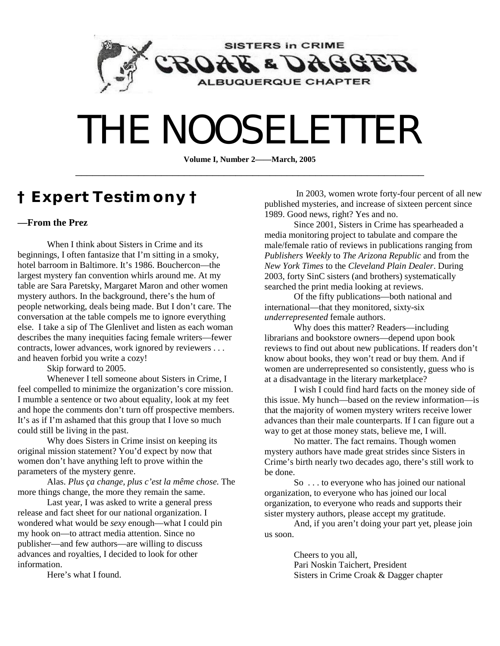

# THE NOOSELETTER

**Volume I, Number 2——March, 2005**  \_\_\_\_\_\_\_\_\_\_\_\_\_\_\_\_\_\_\_\_\_\_\_\_\_\_\_\_\_\_\_\_\_\_\_\_\_\_\_\_\_\_\_\_\_\_\_\_\_\_\_\_\_\_\_\_\_\_\_\_\_

### **† Expert Testimony †**

### **—From the Prez**

When I think about Sisters in Crime and its beginnings, I often fantasize that I'm sitting in a smoky, hotel barroom in Baltimore. It's 1986. Bouchercon—the largest mystery fan convention whirls around me. At my table are Sara Paretsky, Margaret Maron and other women mystery authors. In the background, there's the hum of people networking, deals being made. But I don't care. The conversation at the table compels me to ignore everything else. I take a sip of The Glenlivet and listen as each woman describes the many inequities facing female writers—fewer contracts, lower advances, work ignored by reviewers . . . and heaven forbid you write a cozy!

Skip forward to 2005.

Whenever I tell someone about Sisters in Crime, I feel compelled to minimize the organization's core mission. I mumble a sentence or two about equality, look at my feet and hope the comments don't turn off prospective members. It's as if I'm ashamed that this group that I love so much could still be living in the past.

Why does Sisters in Crime insist on keeping its original mission statement? You'd expect by now that women don't have anything left to prove within the parameters of the mystery genre.

Alas. *Plus ça change, plus c'est la même chose.* The more things change, the more they remain the same.

Last year, I was asked to write a general press release and fact sheet for our national organization. I wondered what would be *sexy* enough—what I could pin my hook on—to attract media attention. Since no publisher—and few authors—are willing to discuss advances and royalties, I decided to look for other information.

Here's what I found.

 In 2003, women wrote forty-four percent of all new published mysteries, and increase of sixteen percent since 1989. Good news, right? Yes and no.

Since 2001, Sisters in Crime has spearheaded a media monitoring project to tabulate and compare the male/female ratio of reviews in publications ranging from *Publishers Weekly* to *The Arizona Republic* and from the *New York Times* to the *Cleveland Plain Dealer*. During 2003, forty SinC sisters (and brothers) systematically searched the print media looking at reviews.

Of the fifty publications—both national and international—that they monitored, sixty-six *underrepresented* female authors.

Why does this matter? Readers—including librarians and bookstore owners—depend upon book reviews to find out about new publications. If readers don't know about books, they won't read or buy them. And if women are underrepresented so consistently, guess who is at a disadvantage in the literary marketplace?

I wish I could find hard facts on the money side of this issue. My hunch—based on the review information—is that the majority of women mystery writers receive lower advances than their male counterparts. If I can figure out a way to get at those money stats, believe me, I will.

No matter. The fact remains. Though women mystery authors have made great strides since Sisters in Crime's birth nearly two decades ago, there's still work to be done.

So . . . to everyone who has joined our national organization, to everyone who has joined our local organization, to everyone who reads and supports their sister mystery authors, please accept my gratitude.

And, if you aren't doing your part yet, please join us soon.

> Cheers to you all, Pari Noskin Taichert, President Sisters in Crime Croak & Dagger chapter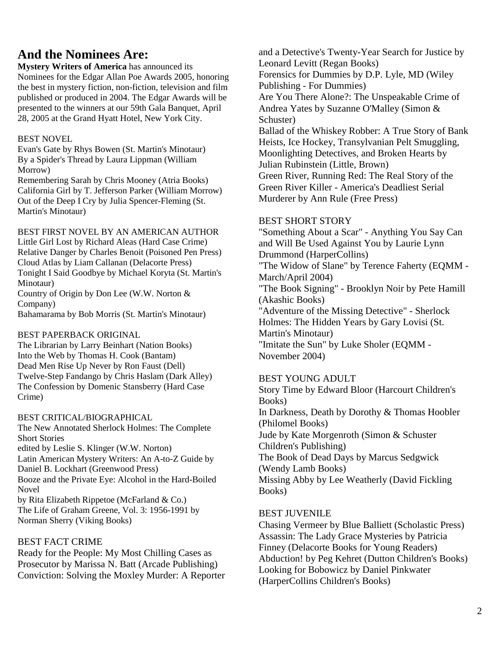### **And the Nominees Are:**

**Mystery Writers of America** has announced its Nominees for the Edgar Allan Poe Awards 2005, honoring the best in mystery fiction, non-fiction, television and film published or produced in 2004. The Edgar Awards will be presented to the winners at our 59th Gala Banquet, April 28, 2005 at the Grand Hyatt Hotel, New York City.

### BEST NOVEL

Evan's Gate by Rhys Bowen (St. Martin's Minotaur) By a Spider's Thread by Laura Lippman (William Morrow)

Remembering Sarah by Chris Mooney (Atria Books) California Girl by T. Jefferson Parker (William Morrow) Out of the Deep I Cry by Julia Spencer-Fleming (St. Martin's Minotaur)

BEST FIRST NOVEL BY AN AMERICAN AUTHOR Little Girl Lost by Richard Aleas (Hard Case Crime) Relative Danger by Charles Benoit (Poisoned Pen Press) Cloud Atlas by Liam Callanan (Delacorte Press) Tonight I Said Goodbye by Michael Koryta (St. Martin's Minotaur) Country of Origin by Don Lee (W.W. Norton &

Company)

Bahamarama by Bob Morris (St. Martin's Minotaur)

### BEST PAPERBACK ORIGINAL

The Librarian by Larry Beinhart (Nation Books) Into the Web by Thomas H. Cook (Bantam) Dead Men Rise Up Never by Ron Faust (Dell) Twelve-Step Fandango by Chris Haslam (Dark Alley) The Confession by Domenic Stansberry (Hard Case Crime)

### BEST CRITICAL/BIOGRAPHICAL

The New Annotated Sherlock Holmes: The Complete Short Stories edited by Leslie S. Klinger (W.W. Norton) Latin American Mystery Writers: An A-to-Z Guide by Daniel B. Lockhart (Greenwood Press) Booze and the Private Eye: Alcohol in the Hard-Boiled Novel by Rita Elizabeth Rippetoe (McFarland & Co.) The Life of Graham Greene, Vol. 3: 1956-1991 by Norman Sherry (Viking Books)

### BEST FACT CRIME

Ready for the People: My Most Chilling Cases as Prosecutor by Marissa N. Batt (Arcade Publishing) Conviction: Solving the Moxley Murder: A Reporter and a Detective's Twenty-Year Search for Justice by Leonard Levitt (Regan Books) Forensics for Dummies by D.P. Lyle, MD (Wiley Publishing - For Dummies) Are You There Alone?: The Unspeakable Crime of Andrea Yates by Suzanne O'Malley (Simon & Schuster) Ballad of the Whiskey Robber: A True Story of Bank Heists, Ice Hockey, Transylvanian Pelt Smuggling, Moonlighting Detectives, and Broken Hearts by Julian Rubinstein (Little, Brown) Green River, Running Red: The Real Story of the Green River Killer - America's Deadliest Serial Murderer by Ann Rule (Free Press)

### BEST SHORT STORY

"Something About a Scar" - Anything You Say Can and Will Be Used Against You by Laurie Lynn Drummond (HarperCollins) "The Widow of Slane" by Terence Faherty (EQMM - March/April 2004) "The Book Signing" - Brooklyn Noir by Pete Hamill (Akashic Books) "Adventure of the Missing Detective" - Sherlock Holmes: The Hidden Years by Gary Lovisi (St. Martin's Minotaur) "Imitate the Sun" by Luke Sholer (EQMM - November 2004)

### BEST YOUNG ADULT

Story Time by Edward Bloor (Harcourt Children's Books) In Darkness, Death by Dorothy & Thomas Hoobler (Philomel Books) Jude by Kate Morgenroth (Simon & Schuster Children's Publishing) The Book of Dead Days by Marcus Sedgwick (Wendy Lamb Books) Missing Abby by Lee Weatherly (David Fickling Books)

### BEST JUVENILE

Chasing Vermeer by Blue Balliett (Scholastic Press) Assassin: The Lady Grace Mysteries by Patricia Finney (Delacorte Books for Young Readers) Abduction! by Peg Kehret (Dutton Children's Books) Looking for Bobowicz by Daniel Pinkwater (HarperCollins Children's Books)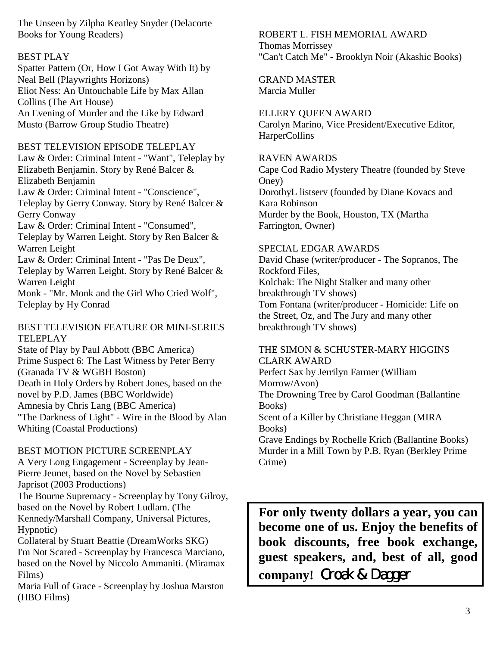The Unseen by Zilpha Keatley Snyder (Delacorte Books for Young Readers)

### BEST PLAY

Spatter Pattern (Or, How I Got Away With It) by Neal Bell (Playwrights Horizons) Eliot Ness: An Untouchable Life by Max Allan Collins (The Art House) An Evening of Murder and the Like by Edward Musto (Barrow Group Studio Theatre)

### BEST TELEVISION EPISODE TELEPLAY

Law & Order: Criminal Intent - "Want", Teleplay by Elizabeth Benjamin. Story by René Balcer & Elizabeth Benjamin

Law & Order: Criminal Intent - "Conscience", Teleplay by Gerry Conway. Story by René Balcer & Gerry Conway

Law & Order: Criminal Intent - "Consumed",

Teleplay by Warren Leight. Story by Ren Balcer & Warren Leight

Law & Order: Criminal Intent - "Pas De Deux", Teleplay by Warren Leight. Story by René Balcer & Warren Leight

Monk - "Mr. Monk and the Girl Who Cried Wolf", Teleplay by Hy Conrad

### BEST TELEVISION FEATURE OR MINI-SERIES TELEPLAY

State of Play by Paul Abbott (BBC America) Prime Suspect 6: The Last Witness by Peter Berry (Granada TV & WGBH Boston) Death in Holy Orders by Robert Jones, based on the novel by P.D. James (BBC Worldwide) Amnesia by Chris Lang (BBC America) "The Darkness of Light" - Wire in the Blood by Alan Whiting (Coastal Productions)

### BEST MOTION PICTURE SCREENPLAY

A Very Long Engagement - Screenplay by Jean-Pierre Jeunet, based on the Novel by Sebastien Japrisot (2003 Productions) The Bourne Supremacy - Screenplay by Tony Gilroy,

based on the Novel by Robert Ludlam. (The Kennedy/Marshall Company, Universal Pictures, Hypnotic)

Collateral by Stuart Beattie (DreamWorks SKG) I'm Not Scared - Screenplay by Francesca Marciano, based on the Novel by Niccolo Ammaniti. (Miramax Films)

Maria Full of Grace - Screenplay by Joshua Marston (HBO Films)

### ROBERT L. FISH MEMORIAL AWARD Thomas Morrissey "Can't Catch Me" - Brooklyn Noir (Akashic Books)

GRAND MASTER Marcia Muller

### ELLERY QUEEN AWARD

Carolyn Marino, Vice President/Executive Editor, **HarperCollins** 

### RAVEN AWARDS

Cape Cod Radio Mystery Theatre (founded by Steve Oney) DorothyL listserv (founded by Diane Kovacs and Kara Robinson Murder by the Book, Houston, TX (Martha Farrington, Owner)

### SPECIAL EDGAR AWARDS

David Chase (writer/producer - The Sopranos, The Rockford Files, Kolchak: The Night Stalker and many other breakthrough TV shows) Tom Fontana (writer/producer - Homicide: Life on the Street, Oz, and The Jury and many other breakthrough TV shows)

### THE SIMON & SCHUSTER-MARY HIGGINS CLARK AWARD

Perfect Sax by Jerrilyn Farmer (William Morrow/Avon) The Drowning Tree by Carol Goodman (Ballantine Books) Scent of a Killer by Christiane Heggan (MIRA Books) Grave Endings by Rochelle Krich (Ballantine Books) Murder in a Mill Town by P.B. Ryan (Berkley Prime Crime)

**For only twenty dollars a year, you can become one of us. Enjoy the benefits of book discounts, free book exchange, guest speakers, and, best of all, good**  company! Croak & Dagger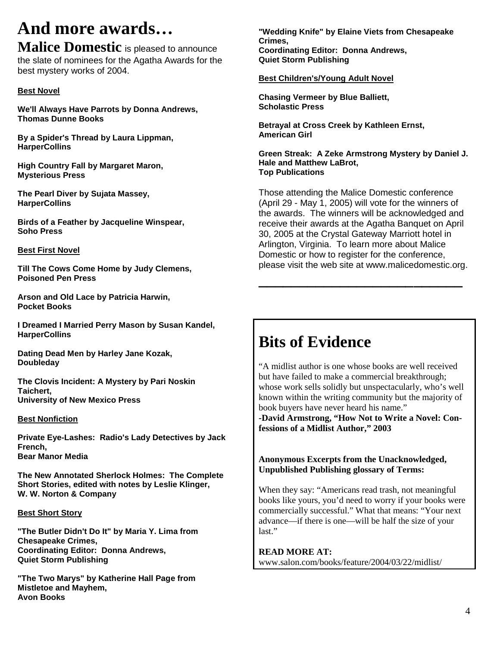## **And more awards…**

**Malice Domestic** is pleased to announce the slate of nominees for the Agatha Awards for the best mystery works of 2004.

### **Best Novel**

**We'll Always Have Parrots by Donna Andrews, Thomas Dunne Books** 

**By a Spider's Thread by Laura Lippman, HarperCollins** 

**High Country Fall by Margaret Maron, Mysterious Press** 

**The Pearl Diver by Sujata Massey, HarperCollins** 

**Birds of a Feather by Jacqueline Winspear, Soho Press** 

#### **Best First Novel**

**Till The Cows Come Home by Judy Clemens, Poisoned Pen Press** 

**Arson and Old Lace by Patricia Harwin, Pocket Books** 

**I Dreamed I Married Perry Mason by Susan Kandel, HarperCollins** 

**Dating Dead Men by Harley Jane Kozak, Doubleday** 

**The Clovis Incident: A Mystery by Pari Noskin Taichert, University of New Mexico Press** 

#### **Best Nonfiction**

**Private Eye-Lashes: Radio's Lady Detectives by Jack French, Bear Manor Media** 

**The New Annotated Sherlock Holmes: The Complete Short Stories, edited with notes by Leslie Klinger, W. W. Norton & Company** 

#### **Best Short Story**

**"The Butler Didn't Do It" by Maria Y. Lima from Chesapeake Crimes, Coordinating Editor: Donna Andrews, Quiet Storm Publishing** 

**"The Two Marys" by Katherine Hall Page from Mistletoe and Mayhem, Avon Books** 

**"Wedding Knife" by Elaine Viets from Chesapeake Crimes, Coordinating Editor: Donna Andrews, Quiet Storm Publishing** 

#### **Best Children's/Young Adult Novel**

**Chasing Vermeer by Blue Balliett, Scholastic Press** 

**Betrayal at Cross Creek by Kathleen Ernst, American Girl** 

**Green Streak: A Zeke Armstrong Mystery by Daniel J. Hale and Matthew LaBrot, Top Publications**

Those attending the Malice Domestic conference (April 29 - May 1, 2005) will vote for the winners of the awards. The winners will be acknowledged and receive their awards at the Agatha Banquet on April 30, 2005 at the Crystal Gateway Marriott hotel in Arlington, Virginia. To learn more about Malice Domestic or how to register for the conference, please visit the web site at www.malicedomestic.org.

**\_\_\_\_\_\_\_\_\_\_\_\_\_\_\_\_\_\_\_\_\_\_\_\_\_** 

### **Bits of Evidence**

"A midlist author is one whose books are well received but have failed to make a commercial breakthrough; whose work sells solidly but unspectacularly, who's well known within the writing community but the majority of book buyers have never heard his name."

**-David Armstrong, "How Not to Write a Novel: Confessions of a Midlist Author," 2003** 

**Anonymous Excerpts from the Unacknowledged, Unpublished Publishing glossary of Terms:** 

When they say: "Americans read trash, not meaningful books like yours, you'd need to worry if your books were commercially successful." What that means: "Your next advance—if there is one—will be half the size of your last"

**READ MORE AT:**  www.salon.com/books/feature/2004/03/22/midlist/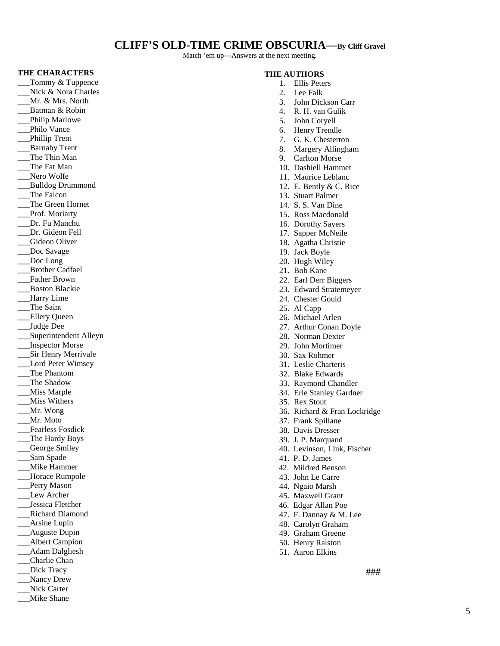### **CLIFF'S OLD-TIME CRIME OBSCURIA—By Cliff Gravel**

Match 'em up—Answers at the next meeting.

#### **THE CHARACTERS**

Tommy & Tuppence Nick & Nora Charles \_\_\_Mr. & Mrs. North Batman & Robin Philip Marlowe Philo Vance \_\_\_Phillip Trent \_\_\_Barnaby Trent \_\_\_The Thin Man \_\_\_The Fat Man Nero Wolfe \_\_\_Bulldog Drummond \_\_\_The Falcon \_\_\_The Green Hornet Prof. Moriarty \_\_\_Dr. Fu Manchu \_\_\_Dr. Gideon Fell Gideon Oliver Doc Savage Doc Long \_\_\_Brother Cadfael \_\_\_Father Brown \_\_\_Boston Blackie \_\_\_Harry Lime \_\_\_The Saint \_\_\_Ellery Queen Judge Dee \_\_\_Superintendent Alleyn \_\_\_Inspector Morse \_\_\_Sir Henry Merrivale Lord Peter Wimsey \_\_\_The Phantom \_\_\_The Shadow \_\_\_Miss Marple \_\_\_Miss Withers \_\_\_Mr. Wong \_\_\_Mr. Moto \_\_\_Fearless Fosdick \_\_\_The Hardy Boys \_\_\_George Smiley \_\_\_Sam Spade \_\_\_Mike Hammer Horace Rumpole Perry Mason Lew Archer \_\_\_Jessica Fletcher \_\_\_Richard Diamond \_\_\_Arsine Lupin \_\_\_Auguste Dupin \_\_Albert Campion Adam Dalgliesh \_\_\_Charlie Chan \_\_\_Dick Tracy Nancy Drew Nick Carter \_\_\_Mike Shane

#### **THE AUTHORS**

- 1. Ellis Peters
- 2. Lee Falk
- 3. John Dickson Carr
- 4. R. H. van Gulik
- 5. John Coryell
- 6. Henry Trendle
- 7. G. K. Chesterton
- 8. Margery Allingham
- 9. Carlton Morse
- 10. Dashiell Hammet
- 11. Maurice Leblanc
- 12. E. Bently & C. Rice
- 13. Stuart Palmer
- 14. S. S. Van Dine
- 15. Ross Macdonald
- 16. Dorothy Sayers
- 17. Sapper McNeile 18. Agatha Christie
- 19. Jack Boyle
- 20. Hugh Wiley
- 21. Bob Kane
- 22. Earl Derr Biggers
- 23. Edward Stratemeyer
- 24. Chester Gould
- 25. Al Capp
- 26. Michael Arlen
- 27. Arthur Conan Doyle
- 28. Norman Dexter
- 29. John Mortimer
- 30. Sax Rohmer
- 31. Leslie Charteris
- 32. Blake Edwards
- 33. Raymond Chandler
- 34. Erle Stanley Gardner
- 35. Rex Stout
- 36. Richard & Fran Lockridge
- 37. Frank Spillane
- 38. Davis Dresser
- 39. J. P. Marquand
- 40. Levinson, Link, Fischer
- 41. P. D. James
- 42. Mildred Benson
- 43. John Le Carre
- 44. Ngaio Marsh
- 45. Maxwell Grant
- 46. Edgar Allan Poe
- 47. F. Dannay & M. Lee
- 48. Carolyn Graham
- 49. Graham Greene
- 50. Henry Ralston
- 51. Aaron Elkins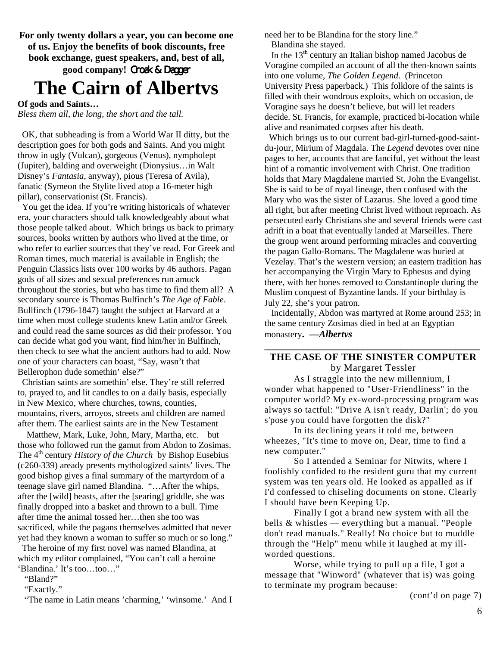**For only twenty dollars a year, you can become one of us. Enjoy the benefits of book discounts, free book exchange, guest speakers, and, best of all,**  good company! Croak & Dagger

### **The Cairn of Albertvs**

**Of gods and Saints…** 

*Bless them all, the long, the short and the tall.* 

 OK, that subheading is from a World War II ditty, but the description goes for both gods and Saints. And you might throw in ugly (Vulcan), gorgeous (Venus), nympholept (Jupiter), balding and overweight (Dionysius…in Walt Disney's *Fantasia,* anyway), pious (Teresa of Avila), fanatic (Symeon the Stylite lived atop a 16-meter high pillar), conservationist (St. Francis).

 You get the idea. If you're writing historicals of whatever era, your characters should talk knowledgeably about what those people talked about. Which brings us back to primary sources, books written by authors who lived at the time, or who refer to earlier sources that they've read. For Greek and Roman times, much material is available in English; the Penguin Classics lists over 100 works by 46 authors. Pagan gods of all sizes and sexual preferences run amuck throughout the stories, but who has time to find them all? A secondary source is Thomas Bulfinch's *The Age of Fable*. Bullfinch (1796-1847) taught the subject at Harvard at a time when most college students knew Latin and/or Greek and could read the same sources as did their professor. You can decide what god you want, find him/her in Bulfinch, then check to see what the ancient authors had to add. Now one of your characters can boast, "Say, wasn't that Bellerophon dude somethin' else?"

 Christian saints are somethin' else. They're still referred to, prayed to, and lit candles to on a daily basis, especially in New Mexico, where churches, towns, counties, mountains, rivers, arroyos, streets and children are named after them. The earliest saints are in the New Testament -Matthew, Mark, Luke, John, Mary, Martha, etc.—but those who followed run the gamut from Abdon to Zosimas. The 4<sup>th</sup> century *History of the Church* by Bishop Eusebius (c260-339) aready presents mythologized saints' lives. The good bishop gives a final summary of the martyrdom of a teenage slave girl named Blandina. "…After the whips, after the [wild] beasts, after the [searing] griddle, she was finally dropped into a basket and thrown to a bull. Time after time the animal tossed her…then she too was sacrificed, while the pagans themselves admitted that never yet had they known a woman to suffer so much or so long."

 The heroine of my first novel was named Blandina, at which my editor complained, "You can't call a heroine 'Blandina.' It's too…too…"

 "Bland?" "Exactly."

"The name in Latin means 'charming,' 'winsome.' And I

need her to be Blandina for the story line." Blandina she stayed.

In the  $13<sup>th</sup>$  century an Italian bishop named Jacobus de Voragine compiled an account of all the then-known saints into one volume, *The Golden Legend*. (Princeton University Press paperback.) This folklore of the saints is filled with their wondrous exploits, which on occasion, de Voragine says he doesn't believe, but will let readers decide. St. Francis, for example, practiced bi-location while alive and reanimated corpses after his death.

 Which brings us to our current bad-girl-turned-good-saintdu-jour, Mirium of Magdala. The *Legend* devotes over nine pages to her, accounts that are fanciful, yet without the least hint of a romantic involvement with Christ. One tradition holds that Mary Magdalene married St. John the Evangelist. She is said to be of royal lineage, then confused with the Mary who was the sister of Lazarus. She loved a good time all right, but after meeting Christ lived without reproach. As persecuted early Christians she and several friends were cast adrift in a boat that eventually landed at Marseilles. There the group went around performing miracles and converting the pagan Gallo-Romans. The Magdalene was buried at Vezelay. That's the western version; an eastern tradition has her accompanying the Virgin Mary to Ephesus and dying there, with her bones removed to Constantinople during the Muslim conquest of Byzantine lands. If your birthday is July 22, she's your patron.

 Incidentally, Abdon was martyred at Rome around 253; in the same century Zosimas died in bed at an Egyptian monastery**. —***Albertvs*

### **\_\_\_\_\_\_\_\_\_\_\_\_\_\_\_\_\_\_\_\_\_\_\_\_\_\_\_\_\_\_\_\_\_\_\_\_\_\_\_\_\_\_\_\_ THE CASE OF THE SINISTER COMPUTER** by Margaret Tessler

As I straggle into the new millennium, I wonder what happened to "User-Friendliness" in the computer world? My ex-word-processing program was always so tactful: "Drive A isn't ready, Darlin'; do you s'pose you could have forgotten the disk?"

In its declining years it told me, between wheezes, "It's time to move on, Dear, time to find a new computer."

So I attended a Seminar for Nitwits, where I foolishly confided to the resident guru that my current system was ten years old. He looked as appalled as if I'd confessed to chiseling documents on stone. Clearly I should have been Keeping Up.

Finally I got a brand new system with all the bells & whistles — everything but a manual. "People don't read manuals." Really! No choice but to muddle through the "Help" menu while it laughed at my illworded questions.

Worse, while trying to pull up a file, I got a message that "Winword" (whatever that is) was going to terminate my program because:

(cont'd on page 7)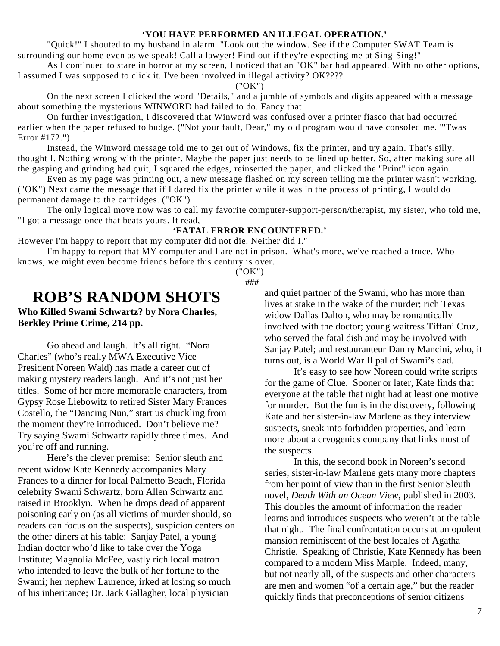#### **'YOU HAVE PERFORMED AN ILLEGAL OPERATION.'**

"Quick!" I shouted to my husband in alarm. "Look out the window. See if the Computer SWAT Team is surrounding our home even as we speak! Call a lawyer! Find out if they're expecting me at Sing-Sing!"

As I continued to stare in horror at my screen, I noticed that an "OK" bar had appeared. With no other options, I assumed I was supposed to click it. I've been involved in illegal activity? OK????

### ("OK")

On the next screen I clicked the word "Details," and a jumble of symbols and digits appeared with a message about something the mysterious WINWORD had failed to do. Fancy that.

On further investigation, I discovered that Winword was confused over a printer fiasco that had occurred earlier when the paper refused to budge. ("Not your fault, Dear," my old program would have consoled me. "'Twas Error #172.")

Instead, the Winword message told me to get out of Windows, fix the printer, and try again. That's silly, thought I. Nothing wrong with the printer. Maybe the paper just needs to be lined up better. So, after making sure all the gasping and grinding had quit, I squared the edges, reinserted the paper, and clicked the "Print" icon again.

Even as my page was printing out, a new message flashed on my screen telling me the printer wasn't working. ("OK") Next came the message that if I dared fix the printer while it was in the process of printing, I would do permanent damage to the cartridges. ("OK")

The only logical move now was to call my favorite computer-support-person/therapist, my sister, who told me, "I got a message once that beats yours. It read,

### **'FATAL ERROR ENCOUNTERED.'**

However I'm happy to report that my computer did not die. Neither did I."

I'm happy to report that MY computer and I are not in prison. What's more, we've reached a truce. Who knows, we might even become friends before this century is over.

("OK") **\_\_\_\_\_\_\_\_\_\_\_\_\_\_\_\_\_\_\_\_\_\_\_\_\_\_\_\_\_\_\_\_\_\_\_\_\_\_\_\_\_\_\_\_\_\_\_\_###\_\_\_\_\_\_\_\_\_\_\_\_\_\_\_\_\_\_\_\_\_\_\_\_\_\_\_\_\_\_\_\_\_\_\_\_\_\_\_\_\_\_\_\_\_\_\_** 

### **ROB'S RANDOM SHOTS**

**Who Killed Swami Schwartz? by Nora Charles, Berkley Prime Crime, 214 pp.** 

 Go ahead and laugh. It's all right. "Nora Charles" (who's really MWA Executive Vice President Noreen Wald) has made a career out of making mystery readers laugh. And it's not just her titles. Some of her more memorable characters, from Gypsy Rose Liebowitz to retired Sister Mary Frances Costello, the "Dancing Nun," start us chuckling from the moment they're introduced. Don't believe me? Try saying Swami Schwartz rapidly three times. And you're off and running.

 Here's the clever premise: Senior sleuth and recent widow Kate Kennedy accompanies Mary Frances to a dinner for local Palmetto Beach, Florida celebrity Swami Schwartz, born Allen Schwartz and raised in Brooklyn. When he drops dead of apparent poisoning early on (as all victims of murder should, so readers can focus on the suspects), suspicion centers on the other diners at his table: Sanjay Patel, a young Indian doctor who'd like to take over the Yoga Institute; Magnolia McFee, vastly rich local matron who intended to leave the bulk of her fortune to the Swami; her nephew Laurence, irked at losing so much of his inheritance; Dr. Jack Gallagher, local physician

and quiet partner of the Swami, who has more than lives at stake in the wake of the murder; rich Texas widow Dallas Dalton, who may be romantically involved with the doctor; young waitress Tiffani Cruz, who served the fatal dish and may be involved with Sanjay Patel; and restauranteur Danny Mancini, who, it turns out, is a World War II pal of Swami's dad.

 It's easy to see how Noreen could write scripts for the game of Clue. Sooner or later, Kate finds that everyone at the table that night had at least one motive for murder. But the fun is in the discovery, following Kate and her sister-in-law Marlene as they interview suspects, sneak into forbidden properties, and learn more about a cryogenics company that links most of the suspects.

 In this, the second book in Noreen's second series, sister-in-law Marlene gets many more chapters from her point of view than in the first Senior Sleuth novel, *Death With an Ocean View*, published in 2003. This doubles the amount of information the reader learns and introduces suspects who weren't at the table that night. The final confrontation occurs at an opulent mansion reminiscent of the best locales of Agatha Christie. Speaking of Christie, Kate Kennedy has been compared to a modern Miss Marple. Indeed, many, but not nearly all, of the suspects and other characters are men and women "of a certain age," but the reader quickly finds that preconceptions of senior citizens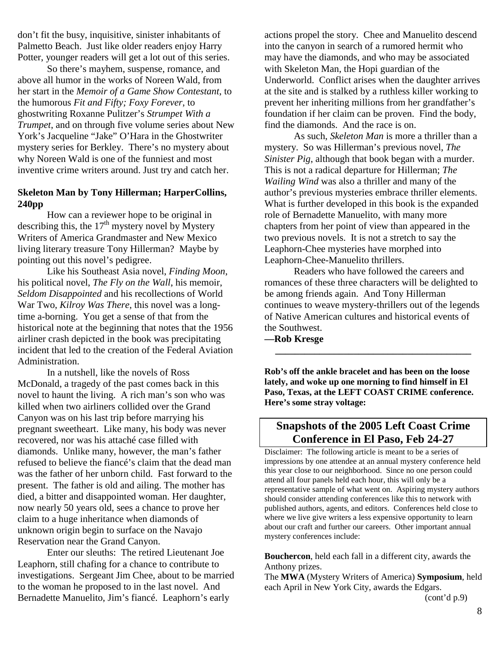don't fit the busy, inquisitive, sinister inhabitants of Palmetto Beach. Just like older readers enjoy Harry Potter, younger readers will get a lot out of this series.

 So there's mayhem, suspense, romance, and above all humor in the works of Noreen Wald, from her start in the *Memoir of a Game Show Contestant*, to the humorous *Fit and Fifty; Foxy Forever*, to ghostwriting Roxanne Pulitzer's *Strumpet With a Trumpet*, and on through five volume series about New York's Jacqueline "Jake" O'Hara in the Ghostwriter mystery series for Berkley. There's no mystery about why Noreen Wald is one of the funniest and most inventive crime writers around. Just try and catch her.

### **Skeleton Man by Tony Hillerman; HarperCollins, 240pp**

 How can a reviewer hope to be original in describing this, the  $17<sup>th</sup>$  mystery novel by Mystery Writers of America Grandmaster and New Mexico living literary treasure Tony Hillerman? Maybe by pointing out this novel's pedigree.

 Like his Southeast Asia novel, *Finding Moon*, his political novel, *The Fly on the Wall*, his memoir, *Seldom Disappointed* and his recollections of World War Two, *Kilroy Was There*, this novel was a longtime a-borning. You get a sense of that from the historical note at the beginning that notes that the 1956 airliner crash depicted in the book was precipitating incident that led to the creation of the Federal Aviation Administration.

 In a nutshell, like the novels of Ross McDonald, a tragedy of the past comes back in this novel to haunt the living. A rich man's son who was killed when two airliners collided over the Grand Canyon was on his last trip before marrying his pregnant sweetheart. Like many, his body was never recovered, nor was his attaché case filled with diamonds. Unlike many, however, the man's father refused to believe the fiancé's claim that the dead man was the father of her unborn child. Fast forward to the present. The father is old and ailing. The mother has died, a bitter and disappointed woman. Her daughter, now nearly 50 years old, sees a chance to prove her claim to a huge inheritance when diamonds of unknown origin begin to surface on the Navajo Reservation near the Grand Canyon.

 Enter our sleuths: The retired Lieutenant Joe Leaphorn, still chafing for a chance to contribute to investigations. Sergeant Jim Chee, about to be married to the woman he proposed to in the last novel. And Bernadette Manuelito, Jim's fiancé. Leaphorn's early

actions propel the story. Chee and Manuelito descend into the canyon in search of a rumored hermit who may have the diamonds, and who may be associated with Skeleton Man, the Hopi guardian of the Underworld. Conflict arises when the daughter arrives at the site and is stalked by a ruthless killer working to prevent her inheriting millions from her grandfather's foundation if her claim can be proven. Find the body, find the diamonds. And the race is on.

 As such, *Skeleton Man* is more a thriller than a mystery. So was Hillerman's previous novel, *The Sinister Pig*, although that book began with a murder. This is not a radical departure for Hillerman; *The Wailing Wind* was also a thriller and many of the author's previous mysteries embrace thriller elements. What is further developed in this book is the expanded role of Bernadette Manuelito, with many more chapters from her point of view than appeared in the two previous novels. It is not a stretch to say the Leaphorn-Chee mysteries have morphed into Leaphorn-Chee-Manuelito thrillers.

 Readers who have followed the careers and romances of these three characters will be delighted to be among friends again. And Tony Hillerman continues to weave mystery-thrillers out of the legends of Native American cultures and historical events of the Southwest.

**\_\_\_\_\_\_\_\_\_\_\_\_\_\_\_\_\_\_\_\_\_\_\_\_\_\_\_\_\_\_\_\_\_\_\_\_\_\_\_\_** 

**—Rob Kresge**

**Rob's off the ankle bracelet and has been on the loose lately, and woke up one morning to find himself in El Paso, Texas, at the LEFT COAST CRIME conference. Here's some stray voltage:** 

### **Snapshots of the 2005 Left Coast Crime Conference in El Paso, Feb 24-27**

Disclaimer: The following article is meant to be a series of impressions by one attendee at an annual mystery conference held this year close to our neighborhood. Since no one person could attend all four panels held each hour, this will only be a representative sample of what went on. Aspiring mystery authors should consider attending conferences like this to network with published authors, agents, and editors. Conferences held close to where we live give writers a less expensive opportunity to learn about our craft and further our careers. Other important annual mystery conferences include:

**Bouchercon**, held each fall in a different city, awards the Anthony prizes.

The **MWA** (Mystery Writers of America) **Symposium**, held each April in New York City, awards the Edgars.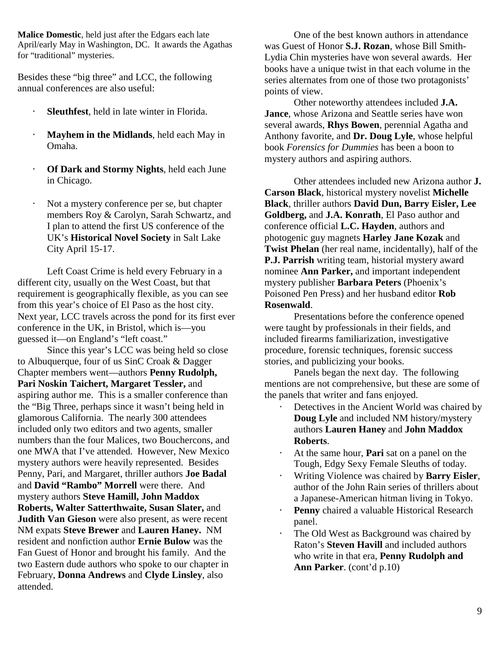**Malice Domestic**, held just after the Edgars each late April/early May in Washington, DC. It awards the Agathas for "traditional" mysteries.

Besides these "big three" and LCC, the following annual conferences are also useful:

- **Sleuthfest**, held in late winter in Florida.
- ⋅ **Mayhem in the Midlands**, held each May in Omaha.
- ⋅ **Of Dark and Stormy Nights**, held each June in Chicago.
- Not a mystery conference per se, but chapter members Roy & Carolyn, Sarah Schwartz, and I plan to attend the first US conference of the UK's **Historical Novel Society** in Salt Lake City April 15-17.

 Left Coast Crime is held every February in a different city, usually on the West Coast, but that requirement is geographically flexible, as you can see from this year's choice of El Paso as the host city. Next year, LCC travels across the pond for its first ever conference in the UK, in Bristol, which is—you guessed it—on England's "left coast."

 Since this year's LCC was being held so close to Albuquerque, four of us SinC Croak & Dagger Chapter members went—authors **Penny Rudolph, Pari Noskin Taichert, Margaret Tessler,** and aspiring author me. This is a smaller conference than the "Big Three, perhaps since it wasn't being held in glamorous California. The nearly 300 attendees included only two editors and two agents, smaller numbers than the four Malices, two Bouchercons, and one MWA that I've attended. However, New Mexico mystery authors were heavily represented. Besides Penny, Pari, and Margaret, thriller authors **Joe Badal** and **David "Rambo" Morrell** were there. And mystery authors **Steve Hamill, John Maddox Roberts, Walter Satterthwaite, Susan Slater,** and **Judith Van Gieson** were also present, as were recent NM expats **Steve Brewer** and **Lauren Haney.** NM resident and nonfiction author **Ernie Bulow** was the Fan Guest of Honor and brought his family. And the two Eastern dude authors who spoke to our chapter in February, **Donna Andrews** and **Clyde Linsley**, also attended.

 One of the best known authors in attendance was Guest of Honor **S.J. Rozan**, whose Bill Smith-Lydia Chin mysteries have won several awards. Her books have a unique twist in that each volume in the series alternates from one of those two protagonists' points of view.

 Other noteworthy attendees included **J.A. Jance**, whose Arizona and Seattle series have won several awards, **Rhys Bowen**, perennial Agatha and Anthony favorite, and **Dr. Doug Lyle**, whose helpful book *Forensics for Dummies* has been a boon to mystery authors and aspiring authors.

 Other attendees included new Arizona author **J. Carson Black**, historical mystery novelist **Michelle Black**, thriller authors **David Dun, Barry Eisler, Lee Goldberg,** and **J.A. Konrath**, El Paso author and conference official **L.C. Hayden**, authors and photogenic guy magnets **Harley Jane Kozak** and **Twist Phelan** (her real name, incidentally), half of the **P.J. Parrish** writing team, historial mystery award nominee **Ann Parker,** and important independent mystery publisher **Barbara Peters** (Phoenix's Poisoned Pen Press) and her husband editor **Rob Rosenwald**.

 Presentations before the conference opened were taught by professionals in their fields, and included firearms familiarization, investigative procedure, forensic techniques, forensic success stories, and publicizing your books.

 Panels began the next day. The following mentions are not comprehensive, but these are some of the panels that writer and fans enjoyed.

- ⋅ Detectives in the Ancient World was chaired by **Doug Lyle** and included NM history/mystery authors **Lauren Haney** and **John Maddox Roberts**.
- ⋅ At the same hour, **Pari** sat on a panel on the Tough, Edgy Sexy Female Sleuths of today.
- ⋅ Writing Violence was chaired by **Barry Eisler**, author of the John Rain series of thrillers about a Japanese-American hitman living in Tokyo.
- ⋅ **Penny** chaired a valuable Historical Research panel.
- The Old West as Background was chaired by Raton's **Steven Havill** and included authors who write in that era, **Penny Rudolph and Ann Parker**. (cont'd p.10)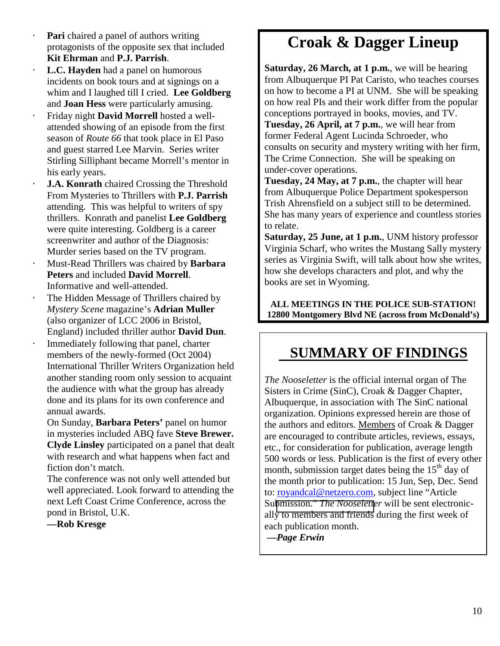- **Pari** chaired a panel of authors writing protagonists of the opposite sex that included **Kit Ehrman** and **P.J. Parrish**.
- ⋅ **L.C. Hayden** had a panel on humorous incidents on book tours and at signings on a whim and I laughed till I cried. **Lee Goldberg**  and **Joan Hess** were particularly amusing.
- ⋅ Friday night **David Morrell** hosted a wellattended showing of an episode from the first season of *Route 66* that took place in El Paso and guest starred Lee Marvin. Series writer Stirling Silliphant became Morrell's mentor in his early years.
- **J.A. Konrath** chaired Crossing the Threshold From Mysteries to Thrillers with **P.J. Parrish** attending. This was helpful to writers of spy thrillers. Konrath and panelist **Lee Goldberg** were quite interesting. Goldberg is a career screenwriter and author of the Diagnosis: Murder series based on the TV program.
- ⋅ Must-Read Thrillers was chaired by **Barbara Peters** and included **David Morrell**. Informative and well-attended.
- The Hidden Message of Thrillers chaired by *Mystery Scene* magazine's **Adrian Muller**  (also organizer of LCC 2006 in Bristol, England) included thriller author **David Dun**.
- Immediately following that panel, charter members of the newly-formed (Oct 2004) International Thriller Writers Organization held another standing room only session to acquaint the audience with what the group has already done and its plans for its own conference and annual awards.

On Sunday, **Barbara Peters'** panel on humor in mysteries included ABQ fave **Steve Brewer. Clyde Linsley** participated on a panel that dealt with research and what happens when fact and fiction don't match.

The conference was not only well attended but well appreciated. Look forward to attending the next Left Coast Crime Conference, across the pond in Bristol, U.K.

**—Rob Kresge** 

### **Croak & Dagger Lineup**

**Saturday, 26 March, at 1 p.m.**, we will be hearing from Albuquerque PI Pat Caristo, who teaches courses on how to become a PI at UNM. She will be speaking on how real PIs and their work differ from the popular conceptions portrayed in books, movies, and TV. **Tuesday, 26 April, at 7 p.m.**, we will hear from former Federal Agent Lucinda Schroeder, who consults on security and mystery writing with her firm, The Crime Connection. She will be speaking on under-cover operations.

**Tuesday, 24 May, at 7 p.m.**, the chapter will hear from Albuquerque Police Department spokesperson Trish Ahrensfield on a subject still to be determined. She has many years of experience and countless stories to relate.

**Saturday, 25 June, at 1 p.m.**, UNM history professor Virginia Scharf, who writes the Mustang Sally mystery series as Virginia Swift, will talk about how she writes, how she develops characters and plot, and why the books are set in Wyoming.

**ALL MEETINGS IN THE POLICE SUB-STATION! 12800 Montgomery Blvd NE (across from McDonald's)** 

### **SUMMARY OF FINDINGS**

*The Nooseletter* is the official internal organ of The Sisters in Crime (SinC), Croak & Dagger Chapter, Albuquerque, in association with The SinC national organization. Opinions expressed herein are those of the authors and editors. Members of Croak & Dagger are encouraged to contribute articles, reviews, essays, etc., for consideration for publication, average length 500 words or less. Publication is the first of every other month, submission target dates being the  $15<sup>th</sup>$  day of the month prior to publication: 15 Jun, Sep, Dec. Send to: royandcal@netzero.com, subject line "Article Submission." *[The Nooselette](mailto:royandcal@netzero.com)r* will be sent electronically to members and friends during the first week of each publication month.

 **—***Page Erwin*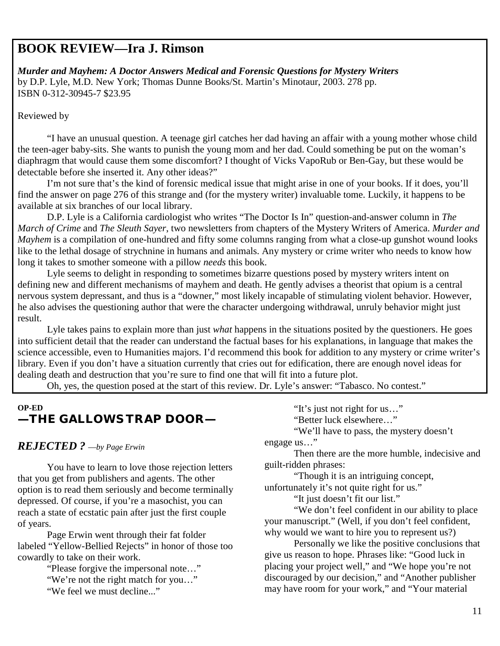### **BOOK REVIEW—Ira J. Rimson**

*Murder and Mayhem: A Doctor Answers Medical and Forensic Questions for Mystery Writers*  by D.P. Lyle, M.D. New York; Thomas Dunne Books/St. Martin's Minotaur, 2003. 278 pp. ISBN 0-312-30945-7 \$23.95

Reviewed by

 "I have an unusual question. A teenage girl catches her dad having an affair with a young mother whose child the teen-ager baby-sits. She wants to punish the young mom and her dad. Could something be put on the woman's diaphragm that would cause them some discomfort? I thought of Vicks VapoRub or Ben-Gay, but these would be detectable before she inserted it. Any other ideas?"

 I'm not sure that's the kind of forensic medical issue that might arise in one of your books. If it does, you'll find the answer on page 276 of this strange and (for the mystery writer) invaluable tome. Luckily, it happens to be available at six branches of our local library.

 D.P. Lyle is a California cardiologist who writes "The Doctor Is In" question-and-answer column in *The March of Crime* and *The Sleuth Sayer*, two newsletters from chapters of the Mystery Writers of America. *Murder and Mayhem* is a compilation of one-hundred and fifty some columns ranging from what a close-up gunshot wound looks like to the lethal dosage of strychnine in humans and animals. Any mystery or crime writer who needs to know how long it takes to smother someone with a pillow *needs* this book.

Lyle seems to delight in responding to sometimes bizarre questions posed by mystery writers intent on defining new and different mechanisms of mayhem and death. He gently advises a theorist that opium is a central nervous system depressant, and thus is a "downer," most likely incapable of stimulating violent behavior. However, he also advises the questioning author that were the character undergoing withdrawal, unruly behavior might just result.

 Lyle takes pains to explain more than just *what* happens in the situations posited by the questioners. He goes into sufficient detail that the reader can understand the factual bases for his explanations, in language that makes the science accessible, even to Humanities majors. I'd recommend this book for addition to any mystery or crime writer's library. Even if you don't have a situation currently that cries out for edification, there are enough novel ideas for dealing death and destruction that you're sure to find one that will fit into a future plot.

Oh, yes, the question posed at the start of this review. Dr. Lyle's answer: "Tabasco. No contest."

### **OP-ED —THE GALLOWS TRAP DOOR—**

### *REJECTED ?* —*by Page Erwin*

 You have to learn to love those rejection letters that you get from publishers and agents. The other option is to read them seriously and become terminally depressed. Of course, if you're a masochist, you can reach a state of ecstatic pain after just the first couple of years.

Page Erwin went through their fat folder labeled "Yellow-Bellied Rejects" in honor of those too cowardly to take on their work.

> "Please forgive the impersonal note…" "We're not the right match for you…" "We feel we must decline..."

"It's just not right for us…"

"Better luck elsewhere…"

"We'll have to pass, the mystery doesn't engage us…"

 Then there are the more humble, indecisive and guilt-ridden phrases:

"Though it is an intriguing concept, unfortunately it's not quite right for us."

"It just doesn't fit our list."

"We don't feel confident in our ability to place your manuscript." (Well, if you don't feel confident, why would we want to hire you to represent us?)

Personally we like the positive conclusions that give us reason to hope. Phrases like: "Good luck in placing your project well," and "We hope you're not discouraged by our decision," and "Another publisher may have room for your work," and "Your material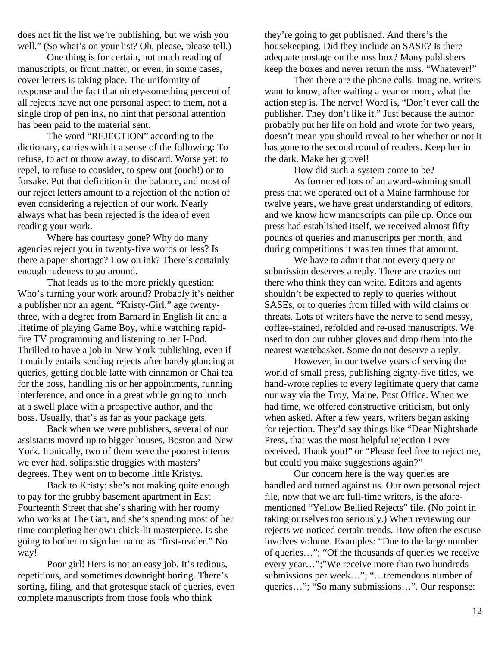does not fit the list we're publishing, but we wish you well." (So what's on your list? Oh, please, please tell.)

One thing is for certain, not much reading of manuscripts, or front matter, or even, in some cases, cover letters is taking place. The uniformity of response and the fact that ninety-something percent of all rejects have not one personal aspect to them, not a single drop of pen ink, no hint that personal attention has been paid to the material sent.

The word "REJECTION" according to the dictionary, carries with it a sense of the following: To refuse, to act or throw away, to discard. Worse yet: to repel, to refuse to consider, to spew out (ouch!) or to forsake. Put that definition in the balance, and most of our reject letters amount to a rejection of the notion of even considering a rejection of our work. Nearly always what has been rejected is the idea of even reading your work.

Where has courtesy gone? Why do many agencies reject you in twenty-five words or less? Is there a paper shortage? Low on ink? There's certainly enough rudeness to go around.

That leads us to the more prickly question: Who's turning your work around? Probably it's neither a publisher nor an agent. "Kristy-Girl," age twentythree, with a degree from Barnard in English lit and a lifetime of playing Game Boy, while watching rapidfire TV programming and listening to her I-Pod. Thrilled to have a job in New York publishing, even if it mainly entails sending rejects after barely glancing at queries, getting double latte with cinnamon or Chai tea for the boss, handling his or her appointments, running interference, and once in a great while going to lunch at a swell place with a prospective author, and the boss. Usually, that's as far as your package gets.

Back when we were publishers, several of our assistants moved up to bigger houses, Boston and New York. Ironically, two of them were the poorest interns we ever had, solipsistic druggies with masters' degrees. They went on to become little Kristys.

Back to Kristy: she's not making quite enough to pay for the grubby basement apartment in East Fourteenth Street that she's sharing with her roomy who works at The Gap, and she's spending most of her time completing her own chick-lit masterpiece. Is she going to bother to sign her name as "first-reader." No way!

Poor girl! Hers is not an easy job. It's tedious, repetitious, and sometimes downright boring. There's sorting, filing, and that grotesque stack of queries, even complete manuscripts from those fools who think

they're going to get published. And there's the housekeeping. Did they include an SASE? Is there adequate postage on the mss box? Many publishers keep the boxes and never return the mss. "Whatever!"

Then there are the phone calls. Imagine, writers want to know, after waiting a year or more, what the action step is. The nerve! Word is, "Don't ever call the publisher. They don't like it." Just because the author probably put her life on hold and wrote for two years, doesn't mean you should reveal to her whether or not it has gone to the second round of readers. Keep her in the dark. Make her grovel!

How did such a system come to be?

As former editors of an award-winning small press that we operated out of a Maine farmhouse for twelve years, we have great understanding of editors, and we know how manuscripts can pile up. Once our press had established itself, we received almost fifty pounds of queries and manuscripts per month, and during competitions it was ten times that amount.

We have to admit that not every query or submission deserves a reply. There are crazies out there who think they can write. Editors and agents shouldn't be expected to reply to queries without SASEs, or to queries from filled with wild claims or threats. Lots of writers have the nerve to send messy, coffee-stained, refolded and re-used manuscripts. We used to don our rubber gloves and drop them into the nearest wastebasket. Some do not deserve a reply.

However, in our twelve years of serving the world of small press, publishing eighty-five titles, we hand-wrote replies to every legitimate query that came our way via the Troy, Maine, Post Office. When we had time, we offered constructive criticism, but only when asked. After a few years, writers began asking for rejection. They'd say things like "Dear Nightshade Press, that was the most helpful rejection I ever received. Thank you!" or "Please feel free to reject me, but could you make suggestions again?"

Our concern here is the way queries are handled and turned against us. Our own personal reject file, now that we are full-time writers, is the aforementioned "Yellow Bellied Rejects" file. (No point in taking ourselves too seriously.) When reviewing our rejects we noticed certain trends. How often the excuse involves volume. Examples: "Due to the large number of queries…"; "Of the thousands of queries we receive every year…";"We receive more than two hundreds submissions per week…"; "…tremendous number of queries…"; "So many submissions…". Our response: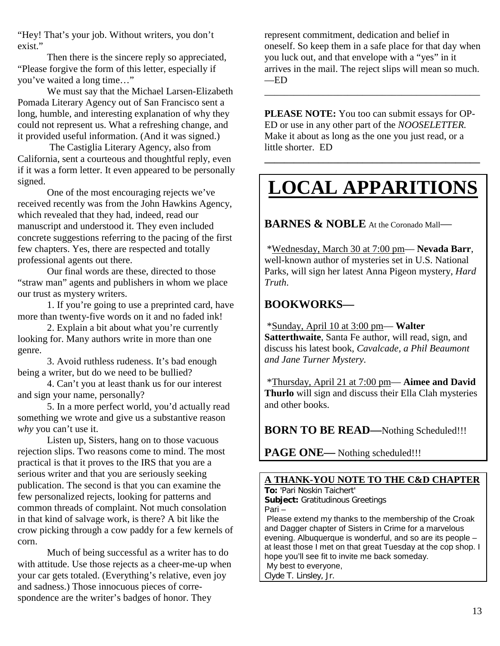"Hey! That's your job. Without writers, you don't exist."

Then there is the sincere reply so appreciated, "Please forgive the form of this letter, especially if you've waited a long time…"

We must say that the Michael Larsen-Elizabeth Pomada Literary Agency out of San Francisco sent a long, humble, and interesting explanation of why they could not represent us. What a refreshing change, and it provided useful information. (And it was signed.)

 The Castiglia Literary Agency, also from California, sent a courteous and thoughtful reply, even if it was a form letter. It even appeared to be personally signed.

One of the most encouraging rejects we've received recently was from the John Hawkins Agency, which revealed that they had, indeed, read our manuscript and understood it. They even included concrete suggestions referring to the pacing of the first few chapters. Yes, there are respected and totally professional agents out there.

Our final words are these, directed to those "straw man" agents and publishers in whom we place our trust as mystery writers.

1. If you're going to use a preprinted card, have more than twenty-five words on it and no faded ink!

2. Explain a bit about what you're currently looking for. Many authors write in more than one genre.

3. Avoid ruthless rudeness. It's bad enough being a writer, but do we need to be bullied?

4. Can't you at least thank us for our interest and sign your name, personally?

5. In a more perfect world, you'd actually read something we wrote and give us a substantive reason *why* you can't use it.

Listen up, Sisters, hang on to those vacuous rejection slips. Two reasons come to mind. The most practical is that it proves to the IRS that you are a serious writer and that you are seriously seeking publication. The second is that you can examine the few personalized rejects, looking for patterns and common threads of complaint. Not much consolation in that kind of salvage work, is there? A bit like the crow picking through a cow paddy for a few kernels of corn.

Much of being successful as a writer has to do with attitude. Use those rejects as a cheer-me-up when your car gets totaled. (Everything's relative, even joy and sadness.) Those innocuous pieces of correspondence are the writer's badges of honor. They

represent commitment, dedication and belief in oneself. So keep them in a safe place for that day when you luck out, and that envelope with a "yes" in it arrives in the mail. The reject slips will mean so much. —ED

\_\_\_\_\_\_\_\_\_\_\_\_\_\_\_\_\_\_\_\_\_\_\_\_\_\_\_\_\_\_\_\_\_\_\_\_\_\_\_\_\_\_\_\_

**PLEASE NOTE:** You too can submit essays for OP-ED or use in any other part of the *NOOSELETTER.* Make it about as long as the one you just read, or a little shorter. ED

# **LOCAL APPARITIONS**

**\_\_\_\_\_\_\_\_\_\_\_\_\_\_\_\_\_\_\_\_\_\_\_\_\_\_\_\_\_\_\_\_\_\_\_\_\_\_\_\_\_\_\_\_** 

**BARNES & NOBLE** At the Coronado Mall—

 \*Wednesday, March 30 at 7:00 pm— **Nevada Barr**, well-known author of mysteries set in U.S. National Parks, will sign her latest Anna Pigeon mystery, *Hard Truth*.

### **BOOKWORKS—**

 \*Sunday, April 10 at 3:00 pm— **Walter Satterthwaite**, Santa Fe author, will read, sign, and discuss his latest book, *Cavalcade, a Phil Beaumont and Jane Turner Mystery.* 

 \*Thursday, April 21 at 7:00 pm— **Aimee and David Thurlo** will sign and discuss their Ella Clah mysteries and other books.

**BORN TO BE READ—Nothing Scheduled!!!** 

**PAGE ONE—** Nothing scheduled!!!

### **A THANK-YOU NOTE TO THE C&D CHAPTER**

**To:** 'Pari Noskin Taichert' **Subject:** Gratitudinous Greetings

Pari –

 Please extend my thanks to the membership of the Croak and Dagger chapter of Sisters in Crime for a marvelous evening. Albuquerque is wonderful, and so are its people – at least those I met on that great Tuesday at the cop shop. I hope you'll see fit to invite me back someday. My best to everyone,

Clyde T. Linsley, Jr.

13